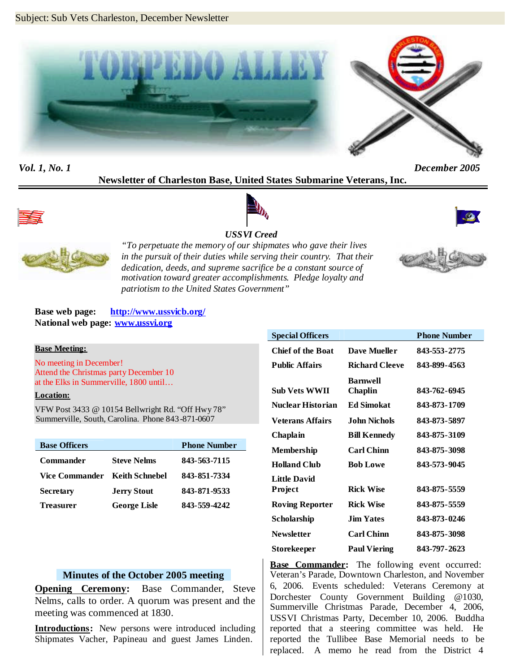

*Vol. 1, No. 1 December 2005*

### **Newsletter of Charleston Base, United States Submarine Veterans, Inc.**







*USSVI Creed "To perpetuate the memory of our shipmates who gave their lives in the pursuit of their duties while serving their country. That their dedication, deeds, and supreme sacrifice be a constant source of*

*motivation toward greater accomplishments. Pledge loyalty and patriotism to the United States Government"*

#### **Base web page: http://www.ussvicb.org/ National web page: www.ussvi.org**

#### **Base Meeting:**

No meeting in December! Attend the Christmas party December 10 at the Elks in Summerville, 1800 until…

#### **Location:**

VFW Post 3433 @ 10154 Bellwright Rd. "Off Hwy 78" Summerville, South, Carolina. Phone 843-871-0607

| <b>Base Officers</b> |                     | <b>Phone Number</b> |
|----------------------|---------------------|---------------------|
| <b>Commander</b>     | <b>Steve Nelms</b>  | 843-563-7115        |
| Vice Commander       | – Keith Schnebel    | 843-851-7334        |
| <b>Secretary</b>     | <b>Jerry Stout</b>  | 843-871-9533        |
| <b>Treasurer</b>     | <b>George Lisle</b> | 843-559-4242        |

#### **Minutes of the October 2005 meeting**

**Opening Ceremony:** Base Commander, Steve Nelms, calls to order. A quorum was present and the meeting was commenced at 1830.

**Introductions:** New persons were introduced including Shipmates Vacher, Papineau and guest James Linden.

| <b>Special Officers</b> |                       | <b>Phone Number</b> |
|-------------------------|-----------------------|---------------------|
| Chief of the Boat       | <b>Dave Mueller</b>   | 843-553-2775        |
| <b>Public Affairs</b>   | <b>Richard Cleeve</b> | 843-899-4563        |
|                         | <b>Barnwell</b>       |                     |
| <b>Sub Vets WWII</b>    | Chaplin               | 843-762-6945        |
| Nuclear Historian       | Ed Simokat            | 843-873-1709        |
| Veterans Affairs        | John Nichols.         | 843-873-5897        |
| Chaplain                | <b>Bill Kennedy</b>   | 843-875-3109        |
| <b>Membership</b>       | <b>Carl Chinn</b>     | 843-875-3098        |
| <b>Holland Club</b>     | <b>Bob Lowe</b>       | 843-573-9045        |
| <b>Little David</b>     |                       |                     |
| <b>Project</b>          | <b>Rick Wise</b>      | 843-875-5559        |
| <b>Roving Reporter</b>  | <b>Rick Wise</b>      | 843-875-5559        |
| Scholarship             | <b>Jim Yates</b>      | 843-873-0246        |
| <b>Newsletter</b>       | <b>Carl Chinn</b>     | 843-875-3098        |
| Storekeeper             | <b>Paul Viering</b>   | 843-797-2623        |

**Base Commander:** The following event occurred: Veteran's Parade, Downtown Charleston, and November 6, 2006. Events scheduled: Veterans Ceremony at Dorchester County Government Building @1030, Summerville Christmas Parade, December 4, 2006, USSVI Christmas Party, December 10, 2006. Buddha reported that a steering committee was held. He reported the Tullibee Base Memorial needs to be replaced. A memo he read from the District 4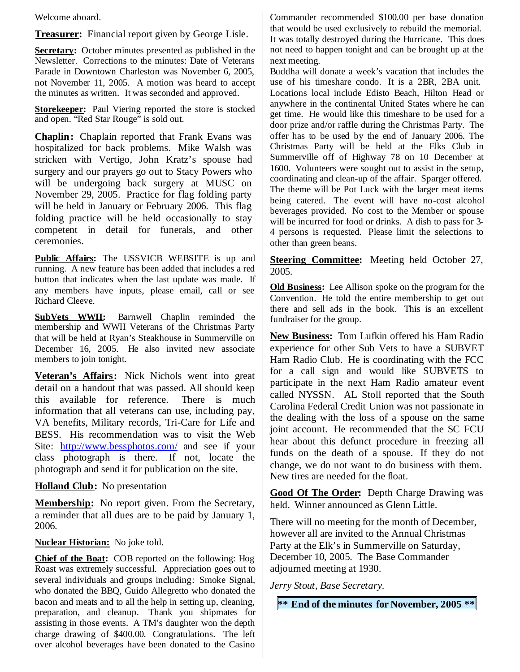Welcome aboard.

**Treasurer:** Financial report given by George Lisle.

**Secretary:** October minutes presented as published in the Newsletter. Corrections to the minutes: Date of Veterans Parade in Downtown Charleston was November 6, 2005, not November 11, 2005. A motion was heard to accept the minutes as written. It was seconded and approved.

**Storekeeper:** Paul Viering reported the store is stocked and open. "Red Star Rouge" is sold out.

**Chaplin:** Chaplain reported that Frank Evans was hospitalized for back problems. Mike Walsh was stricken with Vertigo, John Kratz's spouse had surgery and our prayers go out to Stacy Powers who will be undergoing back surgery at MUSC on November 29, 2005. Practice for flag folding party will be held in January or February 2006. This flag folding practice will be held occasionally to stay competent in detail for funerals, and other ceremonies.

**Public Affairs:** The USSVICB WEBSITE is up and running. A new feature has been added that includes a red button that indicates when the last update was made. If any members have inputs, please email, call or see Richard Cleeve.

**SubVets WWII:** Barnwell Chaplin reminded the membership and WWII Veterans of the Christmas Party that will be held at Ryan's Steakhouse in Summerville on December 16, 2005. He also invited new associate members to join tonight.

**Veteran's Affairs:** Nick Nichols went into great detail on a handout that was passed. All should keep this available for reference. There is much information that all veterans can use, including pay, VA benefits, Military records, Tri-Care for Life and BESS. His recommendation was to visit the Web Site: http://www.bessphotos.com/ and see if your class photograph is there. If not, locate the photograph and send it for publication on the site.

**Holland Club:** No presentation

**Membership:** No report given. From the Secretary, a reminder that all dues are to be paid by January 1, 2006.

**Nuclear Historian:** No joke told.

**Chief of the Boat:** COB reported on the following: Hog Roast was extremely successful. Appreciation goes out to several individuals and groups including: Smoke Signal, who donated the BBQ, Guido Allegretto who donated the bacon and meats and to all the help in setting up, cleaning, preparation, and cleanup. Thank you shipmates for assisting in those events. A TM's daughter won the depth charge drawing of \$400.00. Congratulations. The left over alcohol beverages have been donated to the Casino Commander recommended \$100.00 per base donation that would be used exclusively to rebuild the memorial. It was totally destroyed during the Hurricane. This does not need to happen tonight and can be brought up at the next meeting.

Buddha will donate a week's vacation that includes the use of his timeshare condo. It is a 2BR, 2BA unit. Locations local include Edisto Beach, Hilton Head or anywhere in the continental United States where he can get time. He would like this timeshare to be used for a door prize and/or raffle during the Christmas Party. The offer has to be used by the end of January 2006. The Christmas Party will be held at the Elks Club in Summerville off of Highway 78 on 10 December at 1600. Volunteers were sought out to assist in the setup, coordinating and clean-up of the affair. Sparger offered. The theme will be Pot Luck with the larger meat items being catered. The event will have no-cost alcohol beverages provided. No cost to the Member or spouse will be incurred for food or drinks. A dish to pass for 3-4 persons is requested. Please limit the selections to other than green beans.

**Steering Committee:** Meeting held October 27, 2005.

**Old Business:** Lee Allison spoke on the program for the Convention. He told the entire membership to get out there and sell ads in the book. This is an excellent fundraiser for the group.

**New Business:** Tom Lufkin offered his Ham Radio experience for other Sub Vets to have a SUBVET Ham Radio Club. He is coordinating with the FCC for a call sign and would like SUBVETS to participate in the next Ham Radio amateur event called NYSSN. AL Stoll reported that the South Carolina Federal Credit Union was not passionate in the dealing with the loss of a spouse on the same joint account. He recommended that the SC FCU hear about this defunct procedure in freezing all funds on the death of a spouse. If they do not change, we do not want to do business with them. New tires are needed for the float.

**Good Of The Order:** Depth Charge Drawing was held. Winner announced as Glenn Little.

There will no meeting for the month of December, however all are invited to the Annual Christmas Party at the Elk's in Summerville on Saturday, December 10, 2005. The Base Commander adjourned meeting at 1930.

*Jerry Stout, Base Secretary.*

**\*\* End of the minutes for November, 2005 \*\***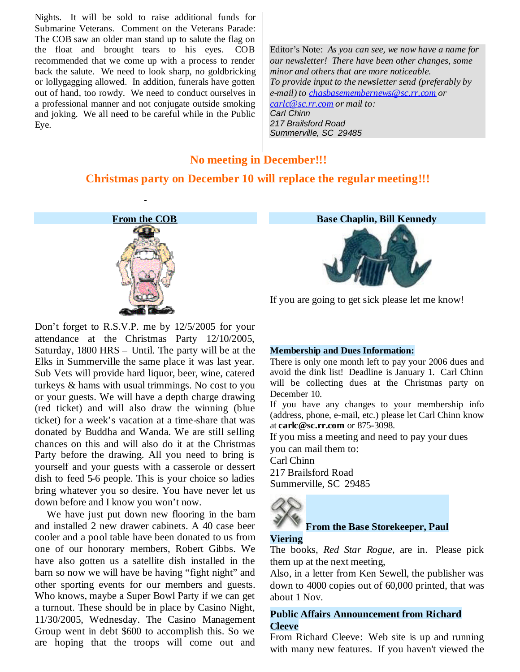Nights. It will be sold to raise additional funds for Submarine Veterans. Comment on the Veterans Parade: The COB saw an older man stand up to salute the flag on the float and brought tears to his eyes. COB recommended that we come up with a process to render back the salute. We need to look sharp, no goldbricking or lollygagging allowed. In addition, funerals have gotten out of hand, too rowdy. We need to conduct ourselves in a professional manner and not conjugate outside smoking and joking. We all need to be careful while in the Public Eye.

Editor's Note: *As you can see, we now have a name for our newsletter! There have been other changes, some minor and others that are more noticeable. To provide input to the newsletter send (preferably by e-mail) to chasbasemembernews@sc.rr.com or carlc@sc.rr.com or mail to: Carl Chinn 217 Brailsford Road Summerville, SC 29485*

### **No meeting in December!!!**

# **Christmas party on December 10 will replace the regular meeting!!!**



Don't forget to R.S.V.P. me by 12/5/2005 for your attendance at the Christmas Party 12/10/2005, Saturday, 1800 HRS – Until. The party will be at the Elks in Summerville the same place it was last year. Sub Vets will provide hard liquor, beer, wine, catered turkeys & hams with usual trimmings. No cost to you or your guests. We will have a depth charge drawing (red ticket) and will also draw the winning (blue ticket) for a week's vacation at a time-share that was donated by Buddha and Wanda. We are still selling chances on this and will also do it at the Christmas Party before the drawing. All you need to bring is yourself and your guests with a casserole or dessert dish to feed 5-6 people. This is your choice so ladies bring whatever you so desire. You have never let us down before and I know you won't now.

We have just put down new flooring in the barn and installed 2 new drawer cabinets. A 40 case beer cooler and a pool table have been donated to us from one of our honorary members, Robert Gibbs. We have also gotten us a satellite dish installed in the barn so now we will have be having "fight night" and other sporting events for our members and guests. Who knows, maybe a Super Bowl Party if we can get a turnout. These should be in place by Casino Night, 11/30/2005, Wednesday. The Casino Management Group went in debt \$600 to accomplish this. So we are hoping that the troops will come out and

**Base Chaplin, Bill Kennedy**



If you are going to get sick please let me know!

#### **Membership and Dues Information:**

There is only one month left to pay your 2006 dues and avoid the dink list! Deadline is January 1. Carl Chinn will be collecting dues at the Christmas party on December 10.

If you have any changes to your membership info (address, phone, e-mail, etc.) please let Carl Chinn know at **carlc@sc.rr.com** or 875-3098.

If you miss a meeting and need to pay your dues you can mail them to:

Carl Chinn

217 Brailsford Road Summerville, SC 29485



### **From the Base Storekeeper, Paul**

### **Viering**

The books, *Red Star Rogue*, are in. Please pick them up at the next meeting,

Also, in a letter from Ken Sewell, the publisher was down to 4000 copies out of 60,000 printed, that was about 1 Nov.

## **Public Affairs Announcement from Richard Cleeve**

From Richard Cleeve: Web site is up and running with many new features. If you haven't viewed the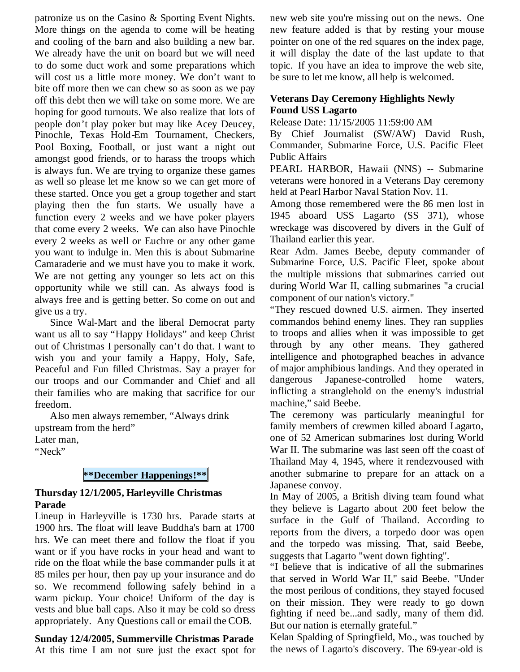patronize us on the Casino & Sporting Event Nights. More things on the agenda to come will be heating and cooling of the barn and also building a new bar. We already have the unit on board but we will need to do some duct work and some preparations which will cost us a little more money. We don't want to bite off more then we can chew so as soon as we pay off this debt then we will take on some more. We are hoping for good turnouts. We also realize that lots of people don't play poker but may like Acey Deucey, Pinochle, Texas Hold-Em Tournament, Checkers, Pool Boxing, Football, or just want a night out amongst good friends, or to harass the troops which is always fun. We are trying to organize these games as well so please let me know so we can get more of these started. Once you get a group together and start playing then the fun starts. We usually have a function every 2 weeks and we have poker players that come every 2 weeks. We can also have Pinochle every 2 weeks as well or Euchre or any other game you want to indulge in. Men this is about Submarine Camaraderie and we must have you to make it work. We are not getting any younger so lets act on this opportunity while we still can. As always food is always free and is getting better. So come on out and give us a try.

Since Wal-Mart and the liberal Democrat party want us all to say "Happy Holidays" and keep Christ out of Christmas I personally can't do that. I want to wish you and your family a Happy, Holy, Safe, Peaceful and Fun filled Christmas. Say a prayer for our troops and our Commander and Chief and all their families who are making that sacrifice for our freedom.

Also men always remember, "Always drink upstream from the herd"

Later man,

"Neck"

# **\*\*December Happenings!\*\***

### **Thursday 12/1/2005, Harleyville Christmas Parade**

Lineup in Harleyville is 1730 hrs. Parade starts at 1900 hrs. The float will leave Buddha's barn at 1700 hrs. We can meet there and follow the float if you want or if you have rocks in your head and want to ride on the float while the base commander pulls it at 85 miles per hour, then pay up your insurance and do so. We recommend following safely behind in a warm pickup. Your choice! Uniform of the day is vests and blue ball caps. Also it may be cold so dress appropriately. Any Questions call or email the COB.

**Sunday 12/4/2005, Summerville Christmas Parade** At this time I am not sure just the exact spot for new web site you're missing out on the news. One new feature added is that by resting your mouse pointer on one of the red squares on the index page, it will display the date of the last update to that topic. If you have an idea to improve the web site, be sure to let me know, all help is welcomed.

### **Veterans Day Ceremony Highlights Newly Found USS Lagarto**

Release Date: 11/15/2005 11:59:00 AM

By Chief Journalist (SW/AW) David Rush, Commander, Submarine Force, U.S. Pacific Fleet Public Affairs

PEARL HARBOR, Hawaii (NNS) -- Submarine veterans were honored in a Veterans Day ceremony held at Pearl Harbor Naval Station Nov. 11.

Among those remembered were the 86 men lost in 1945 aboard USS Lagarto (SS 371), whose wreckage was discovered by divers in the Gulf of Thailand earlier this year.

Rear Adm. James Beebe, deputy commander of Submarine Force, U.S. Pacific Fleet, spoke about the multiple missions that submarines carried out during World War II, calling submarines "a crucial component of our nation's victory."

"They rescued downed U.S. airmen. They inserted commandos behind enemy lines. They ran supplies to troops and allies when it was impossible to get through by any other means. They gathered intelligence and photographed beaches in advance of major amphibious landings. And they operated in Japanese-controlled home waters, inflicting a stranglehold on the enemy's industrial machine," said Beebe.

The ceremony was particularly meaningful for family members of crewmen killed aboard Lagarto, one of 52 American submarines lost during World War II. The submarine was last seen off the coast of Thailand May 4, 1945, where it rendezvoused with another submarine to prepare for an attack on a Japanese convoy.

In May of 2005, a British diving team found what they believe is Lagarto about 200 feet below the surface in the Gulf of Thailand. According to reports from the divers, a torpedo door was open and the torpedo was missing. That, said Beebe, suggests that Lagarto "went down fighting".

"I believe that is indicative of all the submarines that served in World War II," said Beebe. "Under the most perilous of conditions, they stayed focused on their mission. They were ready to go down fighting if need be...and sadly, many of them did. But our nation is eternally grateful."

Kelan Spalding of Springfield, Mo., was touched by the news of Lagarto's discovery. The 69-year-old is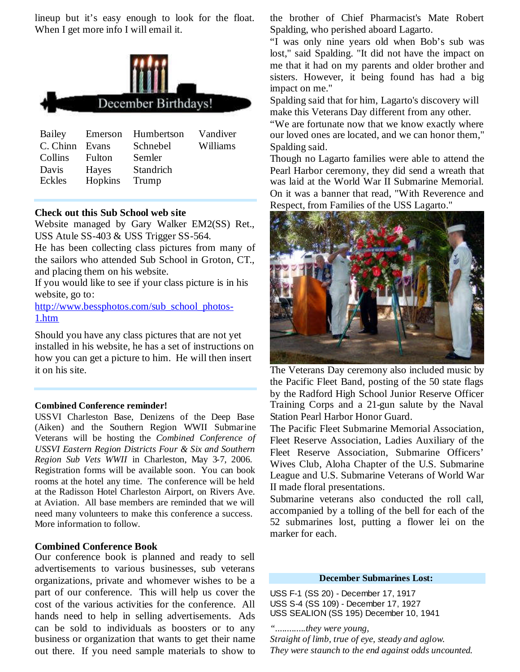lineup but it's easy enough to look for the float. When I get more info I will email it.



| Bailey         |         | Emerson Humbertson | Vandiver |
|----------------|---------|--------------------|----------|
| C. Chinn Evans |         | Schnebel           | Williams |
| Collins        | Fulton  | Semler             |          |
| Davis          | Hayes   | Standrich          |          |
| Eckles         | Hopkins | Trump              |          |
|                |         |                    |          |

#### **Check out this Sub School web site**

Website managed by Gary Walker EM2(SS) Ret., USS Atule SS-403 & USS Trigger SS-564.

He has been collecting class pictures from many of the sailors who attended Sub School in Groton, CT., and placing them on his website.

If you would like to see if your class picture is in his website, go to:

http://www.bessphotos.com/sub\_school\_photos-1.htm

Should you have any class pictures that are not yet installed in his website, he has a set of instructions on how you can get a picture to him. He will then insert it on his site.

#### **Combined Conference reminder!**

USSVI Charleston Base, Denizens of the Deep Base (Aiken) and the Southern Region WWII Submarine Veterans will be hosting the *Combined Conference of USSVI Eastern Region Districts Four & Six and Southern Region Sub Vets WWII* in Charleston, May 3-7, 2006. Registration forms will be available soon. You can book rooms at the hotel any time. The conference will be held at the Radisson Hotel Charleston Airport, on Rivers Ave. at Aviation. All base members are reminded that we will need many volunteers to make this conference a success. More information to follow.

#### **Combined Conference Book**

Our conference book is planned and ready to sell advertisements to various businesses, sub veterans organizations, private and whomever wishes to be a part of our conference. This will help us cover the cost of the various activities for the conference. All hands need to help in selling advertisements. Ads can be sold to individuals as boosters or to any business or organization that wants to get their name out there. If you need sample materials to show to

the brother of Chief Pharmacist's Mate Robert Spalding, who perished aboard Lagarto.

"I was only nine years old when Bob's sub was lost," said Spalding. "It did not have the impact on me that it had on my parents and older brother and sisters. However, it being found has had a big impact on me."

Spalding said that for him, Lagarto's discovery will make this Veterans Day different from any other.

"We are fortunate now that we know exactly where our loved ones are located, and we can honor them," Spalding said.

Though no Lagarto families were able to attend the Pearl Harbor ceremony, they did send a wreath that was laid at the World War II Submarine Memorial. On it was a banner that read, "With Reverence and Respect, from Families of the USS Lagarto."



The Veterans Day ceremony also included music by the Pacific Fleet Band, posting of the 50 state flags by the Radford High School Junior Reserve Officer Training Corps and a 21-gun salute by the Naval Station Pearl Harbor Honor Guard.

The Pacific Fleet Submarine Memorial Association, Fleet Reserve Association, Ladies Auxiliary of the Fleet Reserve Association, Submarine Officers' Wives Club, Aloha Chapter of the U.S. Submarine League and U.S. Submarine Veterans of World War II made floral presentations.

Submarine veterans also conducted the roll call, accompanied by a tolling of the bell for each of the 52 submarines lost, putting a flower lei on the marker for each.

#### **December Submarines Lost:**

USS F-1 (SS 20) - December 17, 1917 USS S-4 (SS 109) - December 17, 1927 USS SEALION (SS 195) December 10, 1941

*".............they were young, Straight of limb, true of eye, steady and aglow. They were staunch to the end against odds uncounted.*